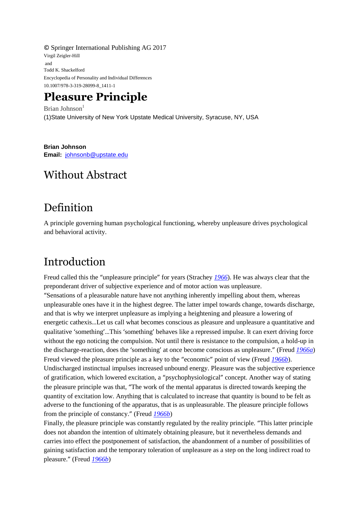© Springer International Publishing AG 2017 Virgil Zeigler-Hill and Todd K. Shackelford Encyclopedia of Personality and Individual Differences 10.1007/978-3-319-28099-8\_1411-1

# **Pleasure Principle**

Brian Johnson $<sup>1</sup>$ </sup> (1)State University of New York Upstate Medical University, Syracuse, NY, USA

**Brian Johnson Email:** [johnsonb@upstate.edu](mailto:johnsonb@upstate.edu)

## Without Abstract

## Definition

A principle governing human psychological functioning, whereby unpleasure drives psychological and behavioral activity.

# Introduction

Freud called this the "unpleasure principle" for years (Strachey *[1966](#page-2-0)*). He was always clear that the preponderant driver of subjective experience and of motor action was unpleasure. "Sensations of a pleasurable nature have not anything inherently impelling about them, whereas unpleasurable ones have it in the highest degree. The latter impel towards change, towards discharge, and that is why we interpret unpleasure as implying a heightening and pleasure a lowering of energetic cathexis…Let us call what becomes conscious as pleasure and unpleasure a quantitative and qualitative 'something'…This 'something' behaves like a repressed impulse. It can exert driving force without the ego noticing the compulsion. Not until there is resistance to the compulsion, a hold-up in the discharge-reaction, does the 'something' at once become conscious as unpleasure." (Freud *[1966a](#page-2-1)*) Freud viewed the pleasure principle as a key to the "economic" point of view (Freud *[1966b](#page-2-2)*). Undischarged instinctual impulses increased unbound energy. Pleasure was the subjective experience of gratification, which lowered excitation, a "psychophysiological" concept. Another way of stating the pleasure principle was that, "The work of the mental apparatus is directed towards keeping the quantity of excitation low. Anything that is calculated to increase that quantity is bound to be felt as adverse to the functioning of the apparatus, that is as unpleasurable. The pleasure principle follows from the principle of constancy." (Freud *[1966b](#page-2-2)*)

Finally, the pleasure principle was constantly regulated by the reality principle. "This latter principle does not abandon the intention of ultimately obtaining pleasure, but it nevertheless demands and carries into effect the postponement of satisfaction, the abandonment of a number of possibilities of gaining satisfaction and the temporary toleration of unpleasure as a step on the long indirect road to pleasure." (Freud *[1966b](#page-2-2)*)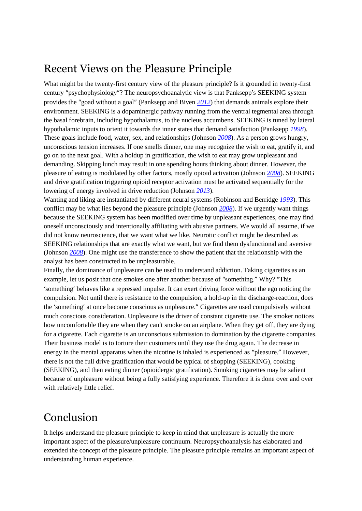## Recent Views on the Pleasure Principle

What might be the twenty-first century view of the pleasure principle? Is it grounded in twenty-first century "psychophysiology"? The neuropsychoanalytic view is that Panksepp's SEEKING system provides the "goad without a goal" (Panksepp and Biven *[2012](#page-2-3)*) that demands animals explore their environment. SEEKING is a dopaminergic pathway running from the ventral tegmental area through the basal forebrain, including hypothalamus, to the nucleus accumbens. SEEKING is tuned by lateral hypothalamic inputs to orient it towards the inner states that demand satisfaction (Panksepp *[1998](#page-2-4)*). These goals include food, water, sex, and relationships (Johnson *[2008](#page-2-5)*). As a person grows hungry, unconscious tension increases. If one smells dinner, one may recognize the wish to eat, gratify it, and go on to the next goal. With a holdup in gratification, the wish to eat may grow unpleasant and demanding. Skipping lunch may result in one spending hours thinking about dinner. However, the pleasure of eating is modulated by other factors, mostly opioid activation (Johnson *[2008](#page-2-5)*). SEEKING and drive gratification triggering opioid receptor activation must be activated sequentially for the lowering of energy involved in drive reduction (Johnson *[2013](#page-2-6)*).

Wanting and liking are instantiated by different neural systems (Robinson and Berridge *[1993](#page-2-7)*). This conflict may be what lies beyond the pleasure principle (Johnson *[2008](#page-2-5)*). If we urgently want things because the SEEKING system has been modified over time by unpleasant experiences, one may find oneself unconsciously and intentionally affiliating with abusive partners. We would all assume, if we did not know neuroscience, that we want what we like. Neurotic conflict might be described as SEEKING relationships that are exactly what we want, but we find them dysfunctional and aversive (Johnson *[2008](#page-2-5)*). One might use the transference to show the patient that the relationship with the analyst has been constructed to be unpleasurable.

Finally, the dominance of unpleasure can be used to understand addiction. Taking cigarettes as an example, let us posit that one smokes one after another because of "something." Why? "This 'something' behaves like a repressed impulse. It can exert driving force without the ego noticing the compulsion. Not until there is resistance to the compulsion, a hold-up in the discharge-reaction, does the 'something' at once become conscious as unpleasure." Cigarettes are used compulsively without much conscious consideration. Unpleasure is the driver of constant cigarette use. The smoker notices how uncomfortable they are when they can't smoke on an airplane. When they get off, they are dying for a cigarette. Each cigarette is an unconscious submission to domination by the cigarette companies. Their business model is to torture their customers until they use the drug again. The decrease in energy in the mental apparatus when the nicotine is inhaled is experienced as "pleasure." However, there is not the full drive gratification that would be typical of shopping (SEEKING), cooking (SEEKING), and then eating dinner (opioidergic gratification). Smoking cigarettes may be salient because of unpleasure without being a fully satisfying experience. Therefore it is done over and over with relatively little relief.

### Conclusion

It helps understand the pleasure principle to keep in mind that unpleasure is actually the more important aspect of the pleasure/unpleasure continuum. Neuropsychoanalysis has elaborated and extended the concept of the pleasure principle. The pleasure principle remains an important aspect of understanding human experience.